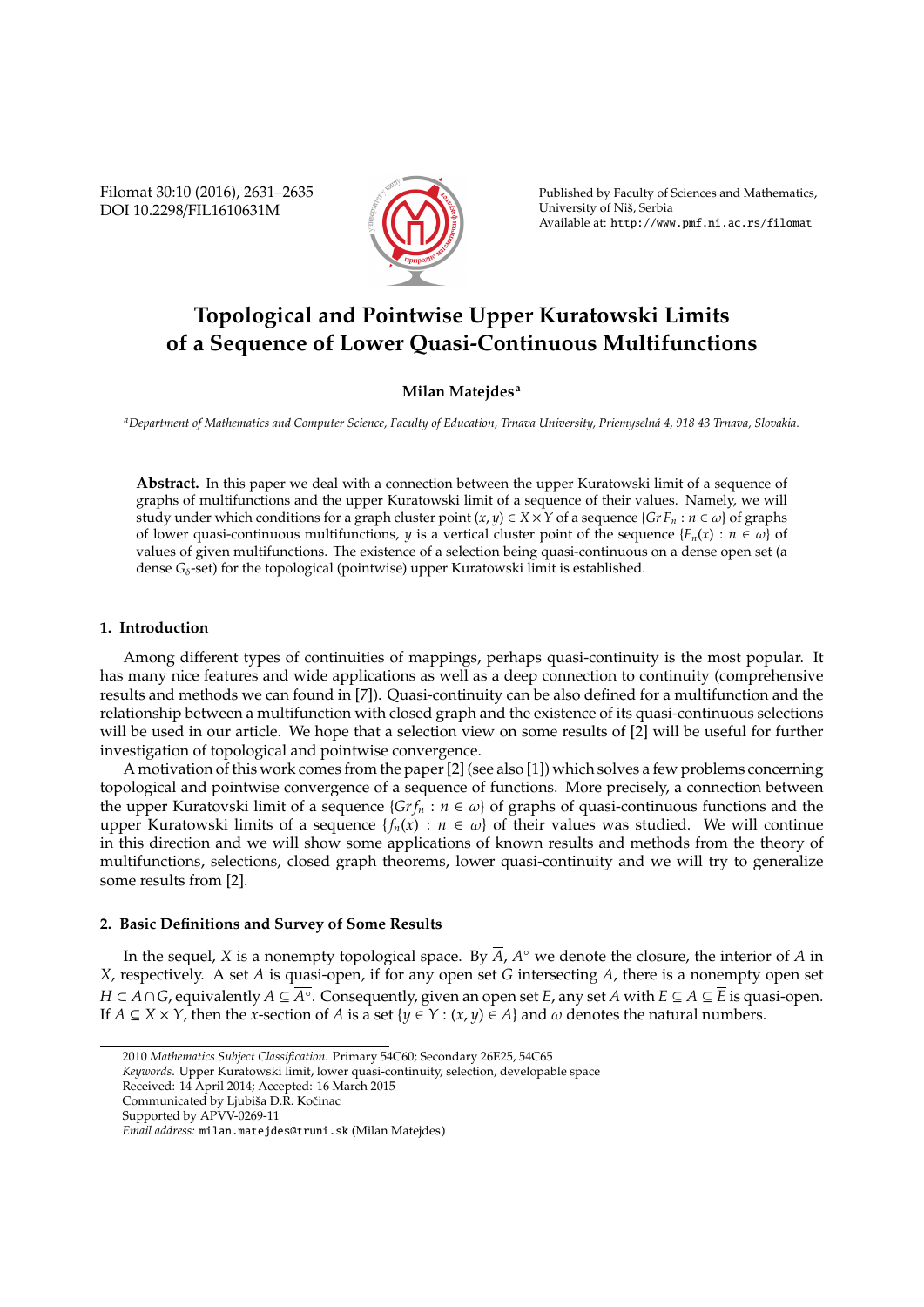Filomat 30:10 (2016), 2631–2635 DOI 10.2298/FIL1610631M



Published by Faculty of Sciences and Mathematics, University of Niš, Serbia Available at: http://www.pmf.ni.ac.rs/filomat

# **Topological and Pointwise Upper Kuratowski Limits of a Sequence of Lower Quasi-Continuous Multifunctions**

## **Milan Matejdes<sup>a</sup>**

*<sup>a</sup>Department of Mathematics and Computer Science, Faculty of Education, Trnava University, Priemyseln´a 4, 918 43 Trnava, Slovakia.*

**Abstract.** In this paper we deal with a connection between the upper Kuratowski limit of a sequence of graphs of multifunctions and the upper Kuratowski limit of a sequence of their values. Namely, we will study under which conditions for a graph cluster point  $(x, y) \in X \times Y$  of a sequence  $\{Gr F_n : n \in \omega\}$  of graphs of lower quasi-continuous multifunctions, *y* is a vertical cluster point of the sequence  $\{F_n(x) : n \in \omega\}$  of values of given multifunctions. The existence of a selection being quasi-continuous on a dense open set (a dense  $G_{\delta}$ -set) for the topological (pointwise) upper Kuratowski limit is established.

### **1. Introduction**

Among different types of continuities of mappings, perhaps quasi-continuity is the most popular. It has many nice features and wide applications as well as a deep connection to continuity (comprehensive results and methods we can found in [7]). Quasi-continuity can be also defined for a multifunction and the relationship between a multifunction with closed graph and the existence of its quasi-continuous selections will be used in our article. We hope that a selection view on some results of [2] will be useful for further investigation of topological and pointwise convergence.

A motivation of this work comes from the paper [2] (see also [1]) which solves a few problems concerning topological and pointwise convergence of a sequence of functions. More precisely, a connection between the upper Kuratovski limit of a sequence  $\{Gr f_n : n \in \omega\}$  of graphs of quasi-continuous functions and the upper Kuratowski limits of a sequence  ${f_n(x) : n \in \omega}$  of their values was studied. We will continue in this direction and we will show some applications of known results and methods from the theory of multifunctions, selections, closed graph theorems, lower quasi-continuity and we will try to generalize some results from [2].

# **2. Basic Definitions and Survey of Some Results**

In the sequel, *X* is a nonempty topological space. By  $\overline{A}$ ,  $A^{\circ}$  we denote the closure, the interior of  $A$  in *X*, respectively. A set *A* is quasi-open, if for any open set *G* intersecting *A*, there is a nonempty open set *H* ⊂ *A*∩*G*, equivalently *A* ⊆ *A*◦ . Consequently, given an open set *E*, any set *A* with *E* ⊆ *A* ⊆ *E* is quasi-open. If  $A \subseteq X \times Y$ , then the *x*-section of *A* is a set { $y \in Y : (x, y) \in A$ } and  $\omega$  denotes the natural numbers.

<sup>2010</sup> *Mathematics Subject Classification*. Primary 54C60; Secondary 26E25, 54C65

*Keywords*. Upper Kuratowski limit, lower quasi-continuity, selection, developable space

Received: 14 April 2014; Accepted: 16 March 2015

Communicated by Ljubiša D.R. Kočinac

Supported by APVV-0269-11

*Email address:* milan.matejdes@truni.sk (Milan Matejdes)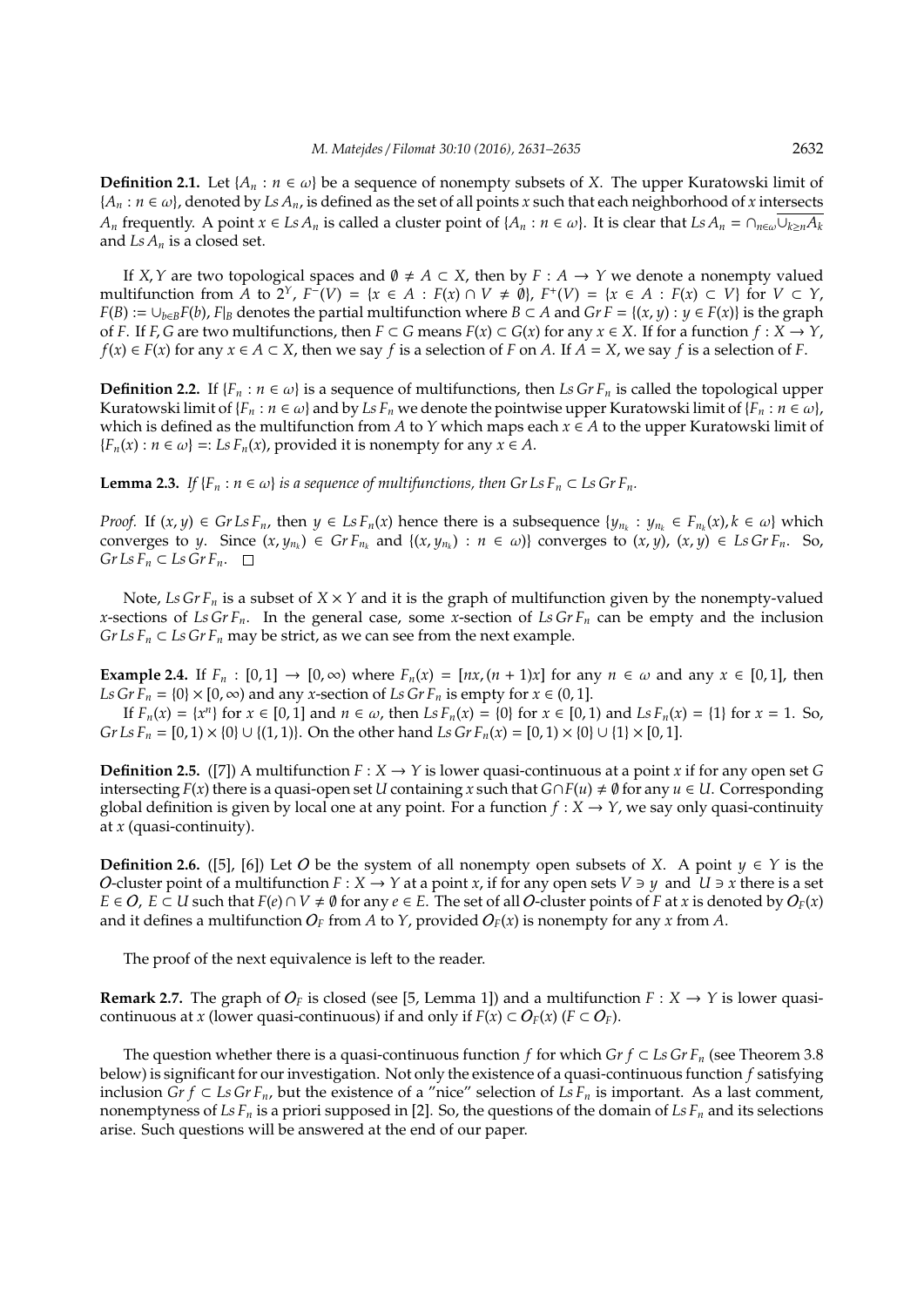**Definition 2.1.** Let  $\{A_n : n \in \omega\}$  be a sequence of nonempty subsets of *X*. The upper Kuratowski limit of  ${A_n : n \in \omega}$ , denoted by *Ls*  $A_n$ , is defined as the set of all points *x* such that each neighborhood of *x* intersects *A*<sub>*n*</sub> frequently. A point  $x \in Ls A_n$  is called a cluster point of  $\{A_n : n \in \omega\}$ . It is clear that  $Ls A_n = \bigcap_{n \in \omega} \bigcup_{k \geq n} A_k$ and *Ls A<sup>n</sup>* is a closed set.

If *X*, *Y* are two topological spaces and  $\emptyset \neq A \subset X$ , then by  $F : A \rightarrow Y$  we denote a nonempty valued multifunction from A to  $2^Y$ ,  $F^{\dagger}(V) = \{x \in A : F(x) \cap V \neq \emptyset\}$ ,  $F^{\dagger}(V) = \{x \in A : F(x) \subset V\}$  for  $V \subset Y$ , *F*(*B*) := ∪*b*∈*BF*(*b*), *F*|*B* denotes the partial multifunction where *B* ⊂ *A* and *Gr F* = {(*x*, *y*) : *y* ∈ *F*(*x*)} is the graph of *F*. If *F*, *G* are two multifunctions, then  $F \subset G$  means  $F(x) \subset G(x)$  for any  $x \in X$ . If for a function  $f: X \to Y$ , *f*(*x*) ∈ *F*(*x*) for any *x* ∈ *A* ⊂ *X*, then we say *f* is a selection of *F* on *A*. If *A* = *X*, we say *f* is a selection of *F*.

**Definition 2.2.** If { $F_n$  :  $n \in \omega$ } is a sequence of multifunctions, then *Ls Gr*  $F_n$  is called the topological upper Kuratowski limit of  ${F_n : n \in \omega}$  and by *Ls*  $F_n$  we denote the pointwise upper Kuratowski limit of  ${F_n : n \in \omega}$ , which is defined as the multifunction from *A* to *Y* which maps each  $x \in A$  to the upper Kuratowski limit of  ${F_n(x) : n \in \omega}$  =: *Ls*  $F_n(x)$ , provided it is nonempty for any  $x \in A$ .

**Lemma 2.3.** *If*  ${F_n : n \in \omega}$  *is a sequence of multifunctions, then Gr Ls*  $F_n \subset Ls$  *Gr*  $F_n$ *.* 

*Proof.* If  $(x, y) \in Gr LsF_n$ , then  $y \in LsF_n(x)$  hence there is a subsequence  $\{y_{n_k} : y_{n_k} \in F_{n_k}(x), k \in \omega\}$  which converges to y. Since  $(x, y_{n_k}) \in Gr F_{n_k}$  and  $\{(x, y_{n_k}) : n \in \omega\}$  converges to  $(x, y)$ ,  $(x, y) \in LsGr F_n$ . So,  $Gr Ls F<sub>n</sub> ⊂ Ls Gr F<sub>n</sub>. □$ 

Note, *Ls Gr F<sup>n</sup>* is a subset of *X* × *Y* and it is the graph of multifunction given by the nonempty-valued *x*-sections of *Ls Gr F<sub>n</sub>*. In the general case, some *x*-section of *Ls Gr F<sub>n</sub>* can be empty and the inclusion *Gr Ls*  $F_n \subset L$ *s Gr*  $F_n$  may be strict, as we can see from the next example.

**Example 2.4.** If  $F_n : [0,1] \to [0,\infty)$  where  $F_n(x) = [nx, (n+1)x]$  for any  $n \in \omega$  and any  $x \in [0,1]$ , then *Ls Gr F<sub>n</sub>* = {0}  $\times$  [0,  $\infty$ ) and any *x*-section of *Ls Gr F<sub>n</sub>* is empty for  $x \in (0, 1]$ .

If  $F_n(x) = \{x^n\}$  for  $x \in [0, 1]$  and  $n \in \omega$ , then  $LsF_n(x) = \{0\}$  for  $x \in [0, 1)$  and  $LsF_n(x) = \{1\}$  for  $x = 1$ . So, *Gr Ls F<sub>n</sub>* = [0, 1) × {0} ∪ {(1, 1)}. On the other hand *Ls Gr F<sub>n</sub>*(*x*) = [0, 1) × {0} ∪ {1} × [0, 1].

**Definition 2.5.** ([7]) A multifunction  $F : X \to Y$  is lower quasi-continuous at a point *x* if for any open set *G* intersecting  $F(x)$  there is a quasi-open set *U* containing *x* such that  $G \cap F(u) \neq \emptyset$  for any  $u \in U$ . Corresponding global definition is given by local one at any point. For a function  $f: X \to Y$ , we say only quasi-continuity at *x* (quasi-continuity).

**Definition 2.6.** ([5], [6]) Let O be the system of all nonempty open subsets of *X*. A point  $y \in Y$  is the *O*-cluster point of a multifunction  $F: X \to Y$  at a point *x*, if for any open sets  $V \ni y$  and  $U \ni x$  there is a set *E* ∈ *O*, *E* ⊂ *U* such that *F*(*e*) ∩ *V* ≠ Ø for any *e* ∈ *E*. The set of all *O*-cluster points of *F* at *x* is denoted by  $O_F(x)$ and it defines a multifunction  $O_F$  from *A* to *Y*, provided  $O_F(x)$  is nonempty for any *x* from *A*.

The proof of the next equivalence is left to the reader.

**Remark 2.7.** The graph of  $O_F$  is closed (see [5, Lemma 1]) and a multifunction  $F : X \to Y$  is lower quasicontinuous at *x* (lower quasi-continuous) if and only if  $F(x) \subset O_F(x)$  ( $F \subset O_F$ ).

The question whether there is a quasi-continuous function *f* for which *Gr f* ⊂ *Ls Gr F<sub>n</sub>* (see Theorem 3.8 below) is significant for our investigation. Not only the existence of a quasi-continuous function *f* satisfying inclusion *Gr f* ⊂ *Ls Gr F<sub>n</sub>*, but the existence of a "nice" selection of *Ls F<sub>n</sub>* is important. As a last comment, nonemptyness of  $LsF_n$  is a priori supposed in [2]. So, the questions of the domain of  $LsF_n$  and its selections arise. Such questions will be answered at the end of our paper.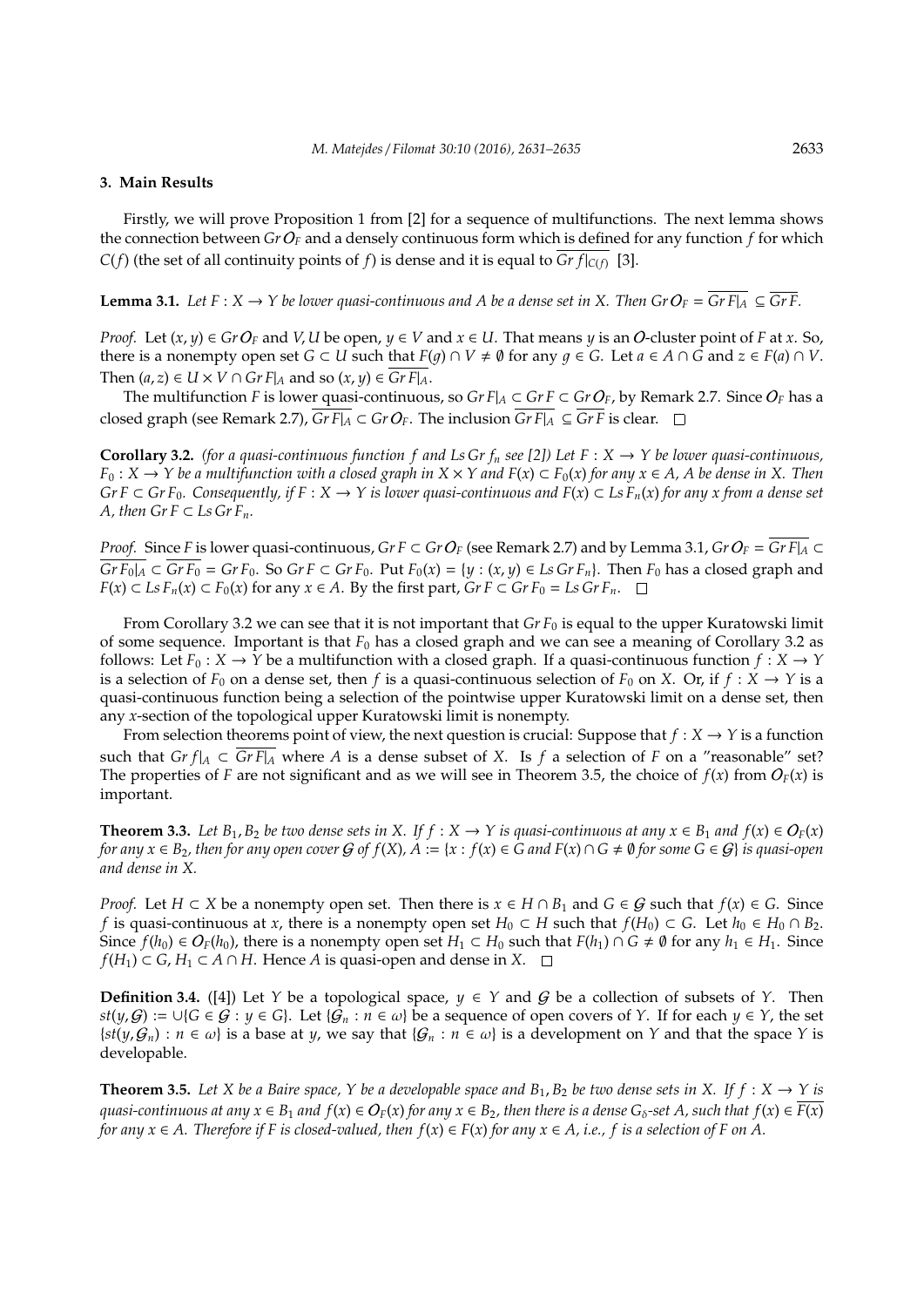#### **3. Main Results**

Firstly, we will prove Proposition 1 from [2] for a sequence of multifunctions. The next lemma shows the connection between *Gr* O*<sup>F</sup>* and a densely continuous form which is defined for any function *f* for which *C*(*f*) (the set of all continuity points of *f*) is dense and it is equal to *Gr*  $f|_{C(f)}$  [3].

**Lemma 3.1.** *Let F* : *X* → *Y be lower quasi-continuous and A be a dense set in X. Then Gr*  $O_F = \overline{GrF|_A}$   $\subseteq \overline{GrF}$ .

*Proof.* Let  $(x, y) \in GrO_F$  and *V*, *U* be open,  $y \in V$  and  $x \in U$ . That means  $y$  is an *O*-cluster point of *F* at *x*. So, there is a nonempty open set *G* ⊂ *U* such that  $F(g) \cap V \neq \emptyset$  for any  $g \in G$ . Let  $a \in A \cap G$  and  $z \in F(a) \cap V$ . Then  $(a, z) \in U \times V \cap GrF|_A$  and so  $(x, y) \in GrF|_A$ .

The multifunction *F* is lower quasi-continuous, so *Gr F*| $_A$  ⊂ *Gr F* ⊂ *Gr O<sub>F</sub>*, by Remark 2.7. Since *O<sub>F</sub>* has a closed graph (see Remark 2.7),  $\overline{GrF|_A} \subset GrO_F$ . The inclusion  $\overline{GrF|_A} \subseteq \overline{GrF}$  is clear.  $\square$ 

**Corollary 3.2.** *(for a quasi-continuous function f and Ls Gr f<sub>n</sub> see [2]) Let*  $F : X \rightarrow Y$  *be lower quasi-continuous, F*<sub>0</sub> : *X* → *Y be a multifunction with a closed graph in <i>X* × *Y and F*(*x*)  $\subset$  *F*<sub>0</sub>(*x*) *for any x*  $\in$  *A*, *A be dense in X*. *Then Gr F* ⊂ *Gr F*<sub>0</sub>*.* Consequently, if F :  $X \to Y$  is lower quasi-continuous and  $F(x) \subset Ls F_n(x)$  for any x from a dense set *A, then*  $Gr F \subset Ls$   $Gr F_n$ .

*Proof.* Since *F* is lower quasi-continuous, *Gr F* ⊂ *Gr*  $O_F$  (see Remark 2.7) and by Lemma 3.1, *Gr*  $O_F = Gr F|_A \subset$  $\overline{GrF_0|_A} \subset \overline{GrF_0} = GrF_0$ . So  $GrF \subset GrF_0$ . Put  $F_0(x) = \{y : (x, y) \in Ls\ GrF_n\}$ . Then  $F_0$  has a closed graph and *F*(*x*) ⊂ *Ls*  $F_n(x)$  ⊂  $F_0(x)$  for any  $x \in A$ . By the first part,  $Gr F \subset Gr F_0 = Ls Gr F_n$ . □

From Corollary 3.2 we can see that it is not important that *Gr F*<sup>0</sup> is equal to the upper Kuratowski limit of some sequence. Important is that  $F_0$  has a closed graph and we can see a meaning of Corollary 3.2 as follows: Let  $F_0: X \to Y$  be a multifunction with a closed graph. If a quasi-continuous function  $f: X \to Y$ is a selection of  $F_0$  on a dense set, then *f* is a quasi-continuous selection of  $F_0$  on *X*. Or, if  $f: X \to Y$  is a quasi-continuous function being a selection of the pointwise upper Kuratowski limit on a dense set, then any *x*-section of the topological upper Kuratowski limit is nonempty.

From selection theorems point of view, the next question is crucial: Suppose that  $f: X \to Y$  is a function such that  $Gr f|_A \subset Gr F|_A$  where A is a dense subset of X. Is f a selection of F on a "reasonable" set? The properties of *F* are not significant and as we will see in Theorem 3.5, the choice of  $f(x)$  from  $O_F(x)$  is important.

**Theorem 3.3.** Let  $B_1, B_2$  be two dense sets in X. If  $f : X \to Y$  is quasi-continuous at any  $x \in B_1$  and  $f(x) \in O_F(x)$ *for any*  $x \in B_2$ , then for any open cover  $G$  of  $f(X)$ ,  $A := \{x : f(x) \in G \text{ and } F(x) \cap G \neq \emptyset \}$  for some  $G \in G\}$  is quasi-open *and dense in X.*

*Proof.* Let *H* ⊂ *X* be a nonempty open set. Then there is  $x \in H \cap B_1$  and  $G \in G$  such that  $f(x) \in G$ . Since *f* is quasi-continuous at *x*, there is a nonempty open set  $H_0 \subset H$  such that  $f(H_0) \subset G$ . Let  $h_0 \in H_0 \cap B_2$ . Since  $f(h_0) \in O_F(h_0)$ , there is a nonempty open set  $H_1 \subset H_0$  such that  $F(h_1) \cap G \neq \emptyset$  for any  $h_1 \in H_1$ . Since *f*(*H*<sub>1</sub>) ⊂ *G*, *H*<sub>1</sub> ⊂ *A* ∩ *H*. Hence *A* is quasi-open and dense in *X*. □

**Definition 3.4.** ([4]) Let *Y* be a topological space,  $y \in Y$  and G be a collection of subsets of *Y*. Then *st*(*y*, *G*) := ∪{*G* ∈ *G* : *y* ∈ *G*}. Let { $G_n$  : *n* ∈ ω} be a sequence of open covers of *Y*. If for each *y* ∈ *Y*, the set  $\{st(y, G_n) : n \in \omega\}$  is a base at *y*, we say that  $\{G_n : n \in \omega\}$  is a development on *Y* and that the space *Y* is developable.

**Theorem 3.5.** Let X be a Baire space, Y be a developable space and  $B_1, B_2$  be two dense sets in X. If  $f : X \to Y$  is *quasi-continuous at any*  $x \in B_1$  *and*  $f(x) \in O_F(x)$  *for any*  $x \in B_2$ *, then there is a dense*  $G_\delta$ -set A, such that  $f(x) \in F(x)$ *for any*  $x \in A$ . Therefore if F is closed-valued, then  $f(x) \in F(x)$  for any  $x \in A$ , *i.e.*, *f* is a selection of F on A.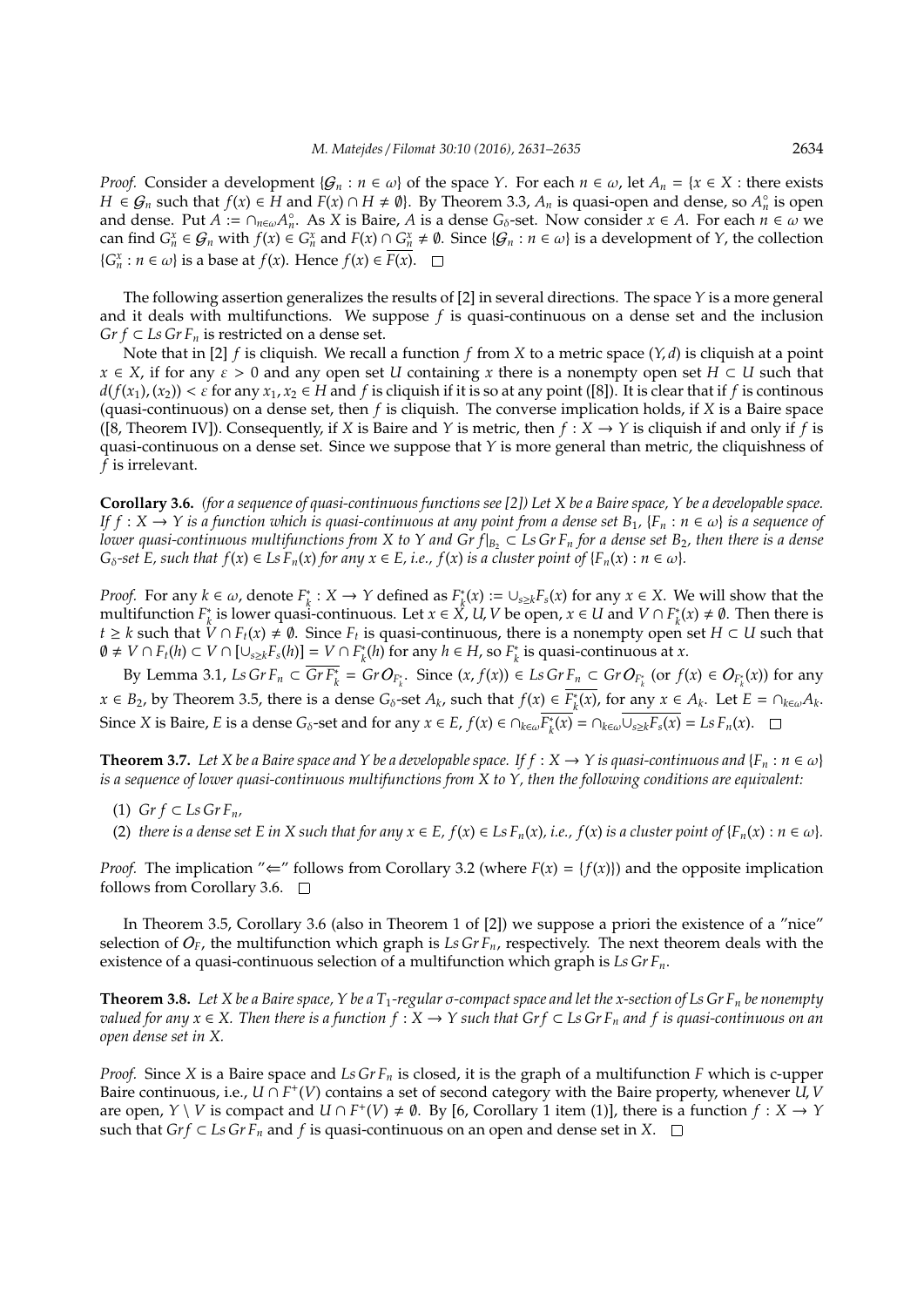*Proof.* Consider a development  $\{G_n : n \in \omega\}$  of the space *Y*. For each  $n \in \omega$ , let  $A_n = \{x \in X : \text{there exists}\}$ *H* ∈  $G_n$  such that  $f(x) \in H$  and  $F(x) \cap H \neq \emptyset$ . By Theorem 3.3,  $A_n$  is quasi-open and dense, so  $A_n$ ° is open and dense. Put  $A := \bigcap_{n \in \omega} A_n^{\circ}$ . As  $X$  is Baire,  $A$  is a dense  $G_{\delta}$ -set. Now consider  $x \in A$ . For each  $n \in \omega$  we can find  $G_n^x \in \mathcal{G}_n$  with  $f(x) \in G_n^x$  and  $F(x) \cap G_n^x \neq \emptyset$ . Since  $\{\mathcal{G}_n : n \in \omega\}$  is a development of Y, the collection  ${G}^x_n : n \in \omega$  is a base at  $f(x)$ . Hence  $f(x) \in \overline{F(x)}$ .

The following assertion generalizes the results of [2] in several directions. The space *Y* is a more general and it deals with multifunctions. We suppose *f* is quasi-continuous on a dense set and the inclusion *Gr f*  $\subset$  *Ls Gr F<sub>n</sub>* is restricted on a dense set.

Note that in [2] *f* is cliquish. We recall a function *f* from *X* to a metric space (*Y*, *d*) is cliquish at a point  $x \in X$ , if for any  $\varepsilon > 0$  and any open set *U* containing *x* there is a nonempty open set  $H \subset U$  such that  $d(f(x_1), (x_2)) < \varepsilon$  for any  $x_1, x_2 \in H$  and f is cliquish if it is so at any point ([8]). It is clear that if f is continous (quasi-continuous) on a dense set, then *f* is cliquish. The converse implication holds, if *X* is a Baire space ([8, Theorem IV]). Consequently, if *X* is Baire and *Y* is metric, then  $f : X \to Y$  is cliquish if and only if *f* is quasi-continuous on a dense set. Since we suppose that *Y* is more general than metric, the cliquishness of *f* is irrelevant.

**Corollary 3.6.** *(for a sequence of quasi-continuous functions see [2]) Let X be a Baire space, Y be a developable space. If*  $f: X \to Y$  *is a function which is quasi-continuous at any point from a dense set*  $B_1$ ,  $\{F_n : n \in \omega\}$  *is a sequence of lower quasi-continuous multifunctions from X to Y and Gr*  $f|_{B_2} \subset L$ *s Gr*  $F_n$  *for a dense set*  $B_2$ *, then there is a dense G*<sub> $\delta$ </sub>-set *E*, such that  $f(x) \in L$ s  $F_n(x)$  for any  $x \in E$ , *i.e.*,  $f(x)$  *is a cluster point of*  $\{F_n(x) : n \in \omega\}$ *.* 

*Proof.* For any  $k \in \omega$ , denote  $F_k^*$  $\chi^*$  : *X* → *Y* defined as  $F^*$ <sub>*k*</sub>  $\chi^*_{k}(x) := \bigcup_{s \geq k} F_s(x)$  for any  $x \in X$ . We will show that the multifunction *F* ∗ *k*<sup>∗</sup> is lower quasi-continuous. Let *x* ∈ *X*<sup>*x*</sup>, *U*, *V* be open, *x* ∈ *U* and *V* ∩  $F_k^*$  $h_k^*(x) \neq \emptyset$ . Then there is *t* ≥ *k* such that  $\hat{V} \cap F_t(x) \neq \emptyset$ . Since  $F_t$  is quasi-continuous, there is a nonempty open set  $H \subset U$  such that  $\emptyset$  ≠ *V* ∩ *F*<sub>t</sub>(*h*) ⊂ *V* ∩ [∪<sub>*s*≥*k*</sub>*F*<sub>*s*</sub>(*h*)] = *V* ∩ *F*<sub>*k*</sub><sup>\*</sup>  $h_k^*(h)$  for any  $h \in H$ , so  $F_k^*$ *k* is quasi-continuous at *x*.

By Lemma 3.1, Ls Gr  $F_n \subset \overline{GrF_k^*} = GrO_{F_k^*}$ . Since  $(x, f(x)) \in LsGrF_n \subset GrO_{F_k^*}$  (or  $f(x) \in O_{F_k^*}(x)$ ) for any *x* ∈ *B*<sub>2</sub>, by Theorem 3.5, there is a dense *G*<sub>δ</sub>-set *A*<sub>*k*</sub>, such that *f*(*x*) ∈  $\overline{F_k^*}$  $\int_{k}^{*}(x)$ , for any  $x \in A_k$ . Let  $E = \bigcap_{k \in \omega} A_k$ . Since *X* is Baire, *E* is a dense *G*<sub>δ</sub>-set and for any  $x \in E$ ,  $f(x) \in \bigcap_{k \in \omega} \overline{F_k^*}$  $\overline{L_k^*(x)} = \bigcap_{k \in \omega} \overline{\bigcup_{s \ge k} F_s(x)} = \text{Ls } F_n(x).$ 

**Theorem 3.7.** *Let X be a Baire space and Y be a developable space. If*  $f : X \to Y$  *is quasi-continuous and*  $\{F_n : n \in \omega\}$ *is a sequence of lower quasi-continuous multifunctions from X to Y, then the following conditions are equivalent:*

- (1)  $Gr f \subset Ls$   $Gr F_n$ ,
- (2) *there is a dense set E in X such that for any*  $x \in E$ *,*  $f(x) \in LsF_n(x)$ *<i>, i.e.,*  $f(x)$  *is a cluster point of*  $\{F_n(x) : n \in \omega\}$ *.*

*Proof.* The implication " $\Leftarrow$ " follows from Corollary 3.2 (where  $F(x) = \{f(x)\}\$ ) and the opposite implication follows from Corollary 3.6.  $\Box$ 

In Theorem 3.5, Corollary 3.6 (also in Theorem 1 of [2]) we suppose a priori the existence of a "nice" selection of  $O_F$ , the multifunction which graph is Ls Gr  $F_n$ , respectively. The next theorem deals with the existence of a quasi-continuous selection of a multifunction which graph is *Ls Gr Fn*.

**Theorem 3.8.** *Let X be a Baire space, Y be a T*1*-regular* σ*-compact space and let the x-section of Ls Gr F<sup>n</sup> be nonempty valued for any x* ∈ *X*. Then there is a function  $f$  :  $X \rightarrow Y$  such that Gr  $f$  ⊂ *Ls Gr F<sub>n</sub>* and  $f$  is quasi-continuous on an *open dense set in X.*

*Proof.* Since *X* is a Baire space and *Ls Gr F<sup>n</sup>* is closed, it is the graph of a multifunction *F* which is c-upper Baire continuous, i.e., *U* ∩ *F* + (*V*) contains a set of second category with the Baire property, whenever *U*, *V* are open, *Y* \ *V* is compact and *U*  $\cap$  *F*<sup>+</sup>(*V*)  $\neq$  Ø. By [6, Corollary 1 item (1)], there is a function  $f : X \rightarrow Y$ such that *Grf* ⊂ *Ls GrF<sub>n</sub>* and *f* is quasi-continuous on an open and dense set in *X*. □